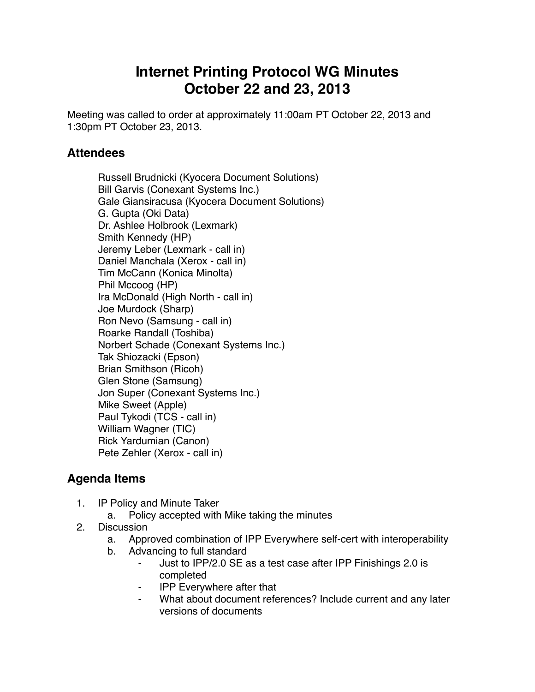## **Internet Printing Protocol WG Minutes October 22 and 23, 2013**

Meeting was called to order at approximately 11:00am PT October 22, 2013 and 1:30pm PT October 23, 2013.

## **Attendees**

Russell Brudnicki (Kyocera Document Solutions) Bill Garvis (Conexant Systems Inc.) Gale Giansiracusa (Kyocera Document Solutions) G. Gupta (Oki Data) Dr. Ashlee Holbrook (Lexmark) Smith Kennedy (HP) Jeremy Leber (Lexmark - call in) Daniel Manchala (Xerox - call in) Tim McCann (Konica Minolta) Phil Mccoog (HP) Ira McDonald (High North - call in) Joe Murdock (Sharp) Ron Nevo (Samsung - call in) Roarke Randall (Toshiba) Norbert Schade (Conexant Systems Inc.) Tak Shiozacki (Epson) Brian Smithson (Ricoh) Glen Stone (Samsung) Jon Super (Conexant Systems Inc.) Mike Sweet (Apple) Paul Tykodi (TCS - call in) William Wagner (TIC) Rick Yardumian (Canon) Pete Zehler (Xerox - call in)

## **Agenda Items**

- 1. IP Policy and Minute Taker
	- a. Policy accepted with Mike taking the minutes
- 2. Discussion
	- a. Approved combination of IPP Everywhere self-cert with interoperability
	- b. Advancing to full standard
		- Just to IPP/2.0 SE as a test case after IPP Finishings 2.0 is completed
		- ⁃ IPP Everywhere after that
		- What about document references? Include current and any later versions of documents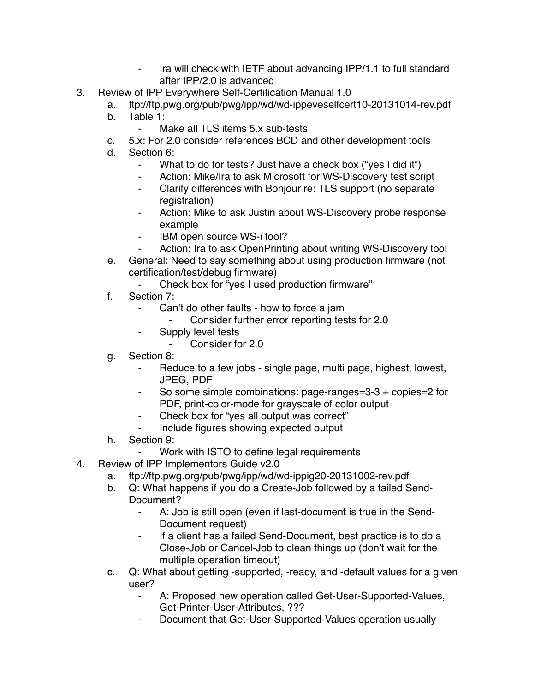- ⁃ Ira will check with IETF about advancing IPP/1.1 to full standard after IPP/2.0 is advanced
- 3. Review of IPP Everywhere Self-Certification Manual 1.0
	- a. ftp://ftp.pwg.org/pub/pwg/ipp/wd/wd-ippeveselfcert10-20131014-rev.pdf
	- b. Table 1:
		- Make all TLS items 5.x sub-tests
	- c. 5.x: For 2.0 consider references BCD and other development tools
	- d. Section 6:
		- What to do for tests? Just have a check box ("yes I did it")
		- ⁃ Action: Mike/Ira to ask Microsoft for WS-Discovery test script
		- ⁃ Clarify differences with Bonjour re: TLS support (no separate registration)
		- Action: Mike to ask Justin about WS-Discovery probe response example
		- ⁃ IBM open source WS-i tool?
		- Action: Ira to ask OpenPrinting about writing WS-Discovery tool
	- e. General: Need to say something about using production firmware (not certification/test/debug firmware)
		- Check box for "yes I used production firmware"
	- f. Section 7:
		- Can't do other faults how to force a jam
			- ⁃ Consider further error reporting tests for 2.0
		- ⁃ Supply level tests
			- ⁃ Consider for 2.0
	- g. Section 8:
		- Reduce to a few jobs single page, multi page, highest, lowest, JPEG, PDF
		- So some simple combinations: page-ranges=3-3 + copies=2 for PDF, print-color-mode for grayscale of color output
		- Check box for "yes all output was correct"
		- Include figures showing expected output
	- h. Section 9:
		- Work with ISTO to define legal requirements
- 4. Review of IPP Implementors Guide v2.0
	- a. ftp://ftp.pwg.org/pub/pwg/ipp/wd/wd-ippig20-20131002-rev.pdf
	- b. Q: What happens if you do a Create-Job followed by a failed Send-Document?
		- A: Job is still open (even if last-document is true in the Send-Document request)
		- If a client has a failed Send-Document, best practice is to do a Close-Job or Cancel-Job to clean things up (don't wait for the multiple operation timeout)
	- c. Q: What about getting -supported, -ready, and -default values for a given user?
		- A: Proposed new operation called Get-User-Supported-Values, Get-Printer-User-Attributes, ???
		- Document that Get-User-Supported-Values operation usually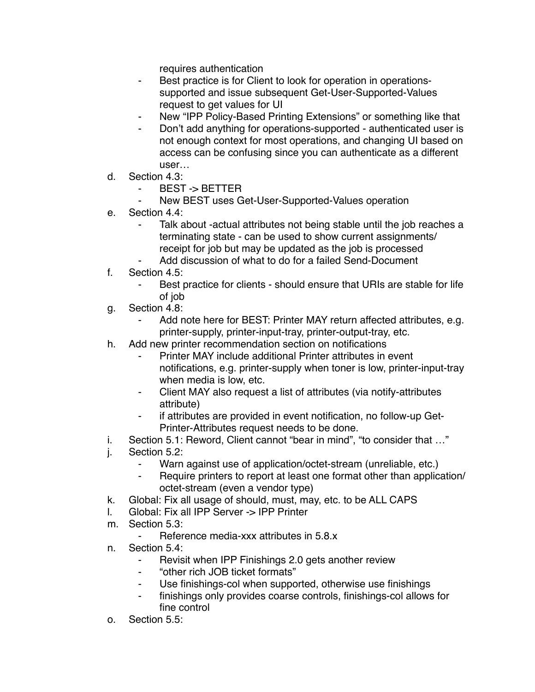requires authentication

- Best practice is for Client to look for operation in operationssupported and issue subsequent Get-User-Supported-Values request to get values for UI
- New "IPP Policy-Based Printing Extensions" or something like that
- Don't add anything for operations-supported authenticated user is not enough context for most operations, and changing UI based on access can be confusing since you can authenticate as a different user…
- d. Section 4.3:
	- BEST -> BETTER
	- New BEST uses Get-User-Supported-Values operation
- e. Section 4.4:
	- Talk about -actual attributes not being stable until the job reaches a terminating state - can be used to show current assignments/ receipt for job but may be updated as the job is processed
	- Add discussion of what to do for a failed Send-Document
- f. Section 4.5:
	- Best practice for clients should ensure that URIs are stable for life of job
- g. Section 4.8:
	- Add note here for BEST: Printer MAY return affected attributes, e.g. printer-supply, printer-input-tray, printer-output-tray, etc.
- h. Add new printer recommendation section on notifications
	- Printer MAY include additional Printer attributes in event notifications, e.g. printer-supply when toner is low, printer-input-tray when media is low, etc.
	- Client MAY also request a list of attributes (via notify-attributes attribute)
	- ⁃ if attributes are provided in event notification, no follow-up Get-Printer-Attributes request needs to be done.
- i. Section 5.1: Reword, Client cannot "bear in mind", "to consider that …"
- j. Section 5.2:
	- ⁃ Warn against use of application/octet-stream (unreliable, etc.)
	- ⁃ Require printers to report at least one format other than application/ octet-stream (even a vendor type)
- k. Global: Fix all usage of should, must, may, etc. to be ALL CAPS
- l. Global: Fix all IPP Server -> IPP Printer
- m. Section 5.3:
	- Reference media-xxx attributes in 5.8.x
- n. Section 5.4:
	- ⁃ Revisit when IPP Finishings 2.0 gets another review
	- ⁃ "other rich JOB ticket formats"
	- Use finishings-col when supported, otherwise use finishings
	- finishings only provides coarse controls, finishings-col allows for fine control
- o. Section 5.5: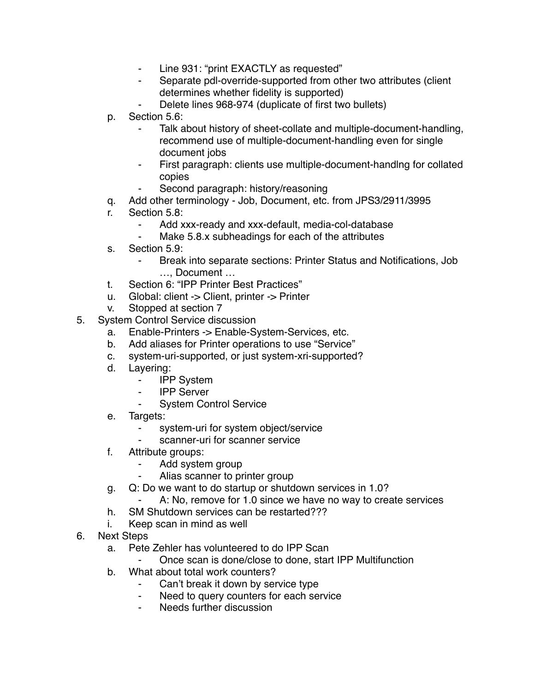- ⁃ Line 931: "print EXACTLY as requested"
- Separate pdl-override-supported from other two attributes (client determines whether fidelity is supported)
- Delete lines 968-974 (duplicate of first two bullets)
- p. Section 5.6:
	- Talk about history of sheet-collate and multiple-document-handling, recommend use of multiple-document-handling even for single document jobs
	- First paragraph: clients use multiple-document-handlng for collated copies
	- Second paragraph: history/reasoning
- q. Add other terminology Job, Document, etc. from JPS3/2911/3995
- r. Section 5.8:
	- ⁃ Add xxx-ready and xxx-default, media-col-database
	- Make 5.8.x subheadings for each of the attributes
- s. Section 5.9:
	- ⁃ Break into separate sections: Printer Status and Notifications, Job …, Document …
- t. Section 6: "IPP Printer Best Practices"
- u. Global: client -> Client, printer -> Printer
- v. Stopped at section 7
- 5. System Control Service discussion
	- a. Enable-Printers -> Enable-System-Services, etc.
	- b. Add aliases for Printer operations to use "Service"
	- c. system-uri-supported, or just system-xri-supported?
	- d. Layering:
		- ⁃ IPP System
		- **IPP Server**
		- **System Control Service**
	- e. Targets:
		- system-uri for system object/service
		- scanner-uri for scanner service
	- f. Attribute groups:
		- ⁃ Add system group
		- Alias scanner to printer group
	- g. Q: Do we want to do startup or shutdown services in 1.0?
		- A: No, remove for 1.0 since we have no way to create services
	- h. SM Shutdown services can be restarted???
	- i. Keep scan in mind as well
- 6. Next Steps
	- a. Pete Zehler has volunteered to do IPP Scan
	- Once scan is done/close to done, start IPP Multifunction
	- b. What about total work counters?
		- ⁃ Can't break it down by service type
		- ⁃ Need to query counters for each service
		- Needs further discussion